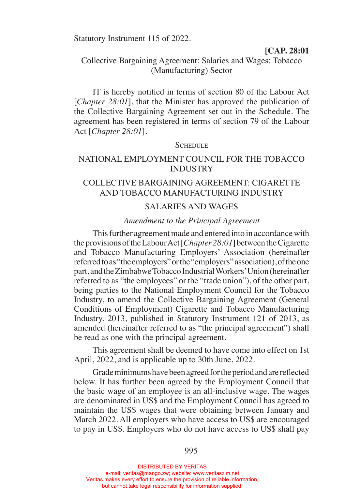Statutory Instrument 115 of 2022.

**[CAP. 28:01**

Collective Bargaining Agreement: Salaries and Wages: Tobacco (Manufacturing) Sector

IT is hereby notified in terms of section 80 of the Labour Act [*Chapter 28:01*], that the Minister has approved the publication of the Collective Bargaining Agreement set out in the Schedule. The agreement has been registered in terms of section 79 of the Labour Act [*Chapter 28:01*].

#### SCHEDULE

### NATIONAL EMPLOYMENT COUNCIL FOR THE TOBACCO INDUSTRY

# COLLECTIVE BARGAINING AGREEMENT: CIGARETTE AND TOBACCO MANUFACTURING INDUSTRY

### SALARIES AND WAGES

### *Amendment to the Principal Agreement*

 This further agreement made and entered into in accordance with the provisions of the Labour Act [*Chapter 28:01*] between the Cigarette and Tobacco Manufacturing Employers' Association (hereinafter referred to as "the employers" or the "employers" association), of the one part, and the Zimbabwe Tobacco Industrial Workers' Union (hereinafter referred to as "the employees" or the "trade union"), of the other part, being parties to the National Employment Council for the Tobacco Industry, to amend the Collective Bargaining Agreement (General Conditions of Employment) Cigarette and Tobacco Manufacturing Industry, 2013, published in Statutory Instrument 121 of 2013, as amended (hereinafter referred to as "the principal agreement") shall be read as one with the principal agreement.

 This agreement shall be deemed to have come into effect on 1st April, 2022, and is applicable up to 30th June, 2022.

 Grade minimums have been agreed for the period and are reflected below. It has further been agreed by the Employment Council that the basic wage of an employee is an all-inclusive wage. The wages are denominated in US\$ and the Employment Council has agreed to maintain the US\$ wages that were obtaining between January and March 2022. All employers who have access to US\$ are encouraged to pay in US\$. Employers who do not have access to US\$ shall pay

DISTRIBUTED BY VERITAS e-mail: veritas@mango.zw; website: www.veritaszim.net Veritas makes every effort to ensure the provision of reliable information, but cannot take legal responsibility for information supplied.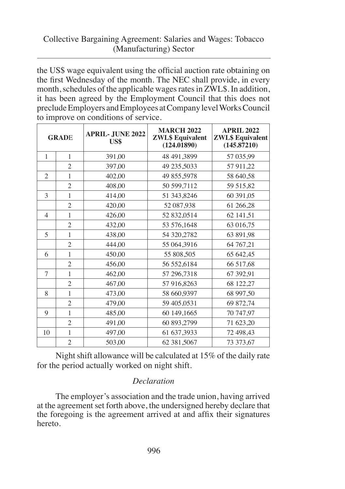# Collective Bargaining Agreement: Salaries and Wages: Tobacco (Manufacturing) Sector

the US\$ wage equivalent using the official auction rate obtaining on the first Wednesday of the month. The NEC shall provide, in every month, schedules of the applicable wages rates in ZWL\$. In addition, it has been agreed by the Employment Council that this does not preclude Employers and Employees at Company level Works Council to improve on conditions of service.

| <b>GRADE</b>   |                | <b>APRIL-JUNE 2022</b><br>US\$ | <b>MARCH 2022</b><br><b>ZWL\$</b> Equivalent<br>(124.01890) | <b>APRIL 2022</b><br><b>ZWL\$</b> Equivalent<br>(145.87210) |
|----------------|----------------|--------------------------------|-------------------------------------------------------------|-------------------------------------------------------------|
| $\mathbf{1}$   | 1              | 391,00                         | 48 491,3899                                                 | 57 035,99                                                   |
|                | $\overline{2}$ | 397,00                         | 49 235,5033                                                 | 57 911,22                                                   |
| $\overline{c}$ | 1              | 402,00                         | 49 855,5978                                                 | 58 640,58                                                   |
|                | $\overline{c}$ | 408.00                         | 50 599,7112                                                 | 59 515,82                                                   |
| 3              | $\mathbf{1}$   | 414,00                         | 51 343,8246                                                 | 60 391,05                                                   |
|                | $\overline{2}$ | 420,00                         | 52 087,938                                                  | 61 266,28                                                   |
| $\overline{4}$ | $\mathbf{1}$   | 426,00                         | 52 832,0514                                                 | 62 141,51                                                   |
|                | $\overline{c}$ | 432,00                         | 53 576,1648                                                 | 63 016,75                                                   |
| $\overline{5}$ | 1              | 438.00                         | 54 320,2782                                                 | 63 891,98                                                   |
|                | $\overline{c}$ | 444,00                         | 55 064,3916                                                 | 64 767,21                                                   |
| 6              | 1              | 450,00                         | 55 808,505                                                  | 65 642,45                                                   |
|                | $\overline{c}$ | 456,00                         | 56 552,6184                                                 | 66 517,68                                                   |
| 7              | $\mathbf{1}$   | 462,00                         | 57 296,7318                                                 | 67 392,91                                                   |
|                | $\overline{2}$ | 467,00                         | 57 916,8263                                                 | 68 122,27                                                   |
| 8              | 1              | 473,00                         | 58 660,9397                                                 | 68 997,50                                                   |
|                | $\overline{2}$ | 479,00                         | 59 405,0531                                                 | 69 872,74                                                   |
| 9              | $\mathbf{1}$   | 485,00                         | 60 149,1665                                                 | 70 747,97                                                   |
|                | $\overline{2}$ | 491,00                         | 60 893,2799                                                 | 71 623,20                                                   |
| 10             | $\mathbf{1}$   | 497,00                         | 61 637,3933                                                 | 72 498,43                                                   |
|                | $\overline{2}$ | 503,00                         | 62 381,5067                                                 | 73 373,67                                                   |

Night shift allowance will be calculated at 15% of the daily rate for the period actually worked on night shift.

## *Declaration*

The employer's association and the trade union, having arrived at the agreement set forth above, the undersigned hereby declare that the foregoing is the agreement arrived at and affix their signatures hereto.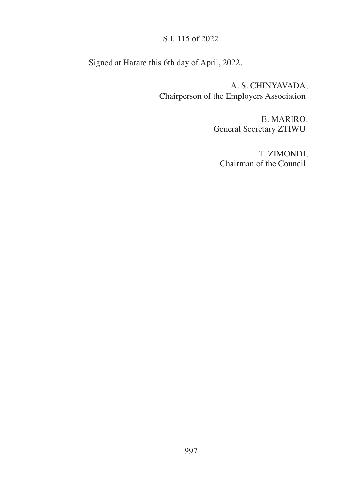Signed at Harare this 6th day of April, 2022.

A. S. CHINYAVADA, Chairperson of the Employers Association.

> E. MARIRO, General Secretary ZTIWU.

T. ZIMONDI, Chairman of the Council.